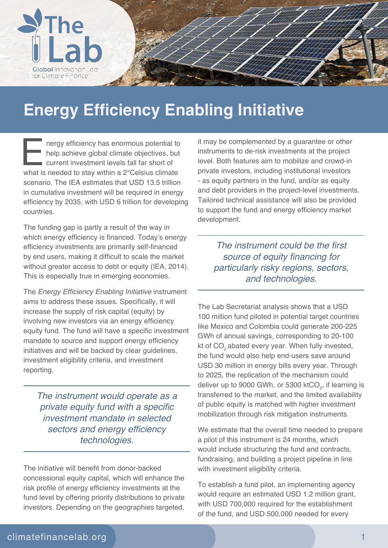

## **Energy Efficiency Enabling Initiative**

E nergy efficiency has enormous potential to help achieve global climate objectives, but current investment levels fall far short of what is needed to stay within a 2°Celsius climate scenario. The IEA estimates that USD 13.5 trillion in cumulative investment will be required in energy efficiency by 2035, with USD 6 trillion for developing countries.

The funding gap is partly a result of the way in which energy efficiency is financed. Today's energy efficiency investments are primarily self-financed by end users, making it difficult to scale the market without greater access to debt or equity (IEA, 2014). This is especially true in emerging economies.

The Energy Efficiency Enabling Initiative instrument aims to address these issues. Specifically, it will increase the supply of risk capital (equity) by involving new investors via an energy efficiency equity fund. The fund will have a specific investment mandate to source and support energy efficiency initiatives and will be backed by clear guidelines, investment eligibility criteria, and investment reporting.

The instrument would operate as a private equity fund with a specific investment mandate in selected sectors and energy efficiency technologies.

The initiative will benefit from donor-backed concessional equity capital, which will enhance the risk profile of energy efficiency investments at the fund level by offering priority distributions to private investors. Depending on the geographies targeted,

it may be complemented by a guarantee or other instruments to de-risk investments at the project level. Both features aim to mobilize and crowd-in private investors, including institutional investors - as equity partners in the fund, and/or as equity and debt providers in the project-level investments. Tailored technical assistance will also be provided to support the fund and energy efficiency market development.

The instrument could be the first source of equity financing for particularly risky regions, sectors, and technologies.

The Lab Secretariat analysis shows that a USD 100 million fund piloted in potential target countries like Mexico and Colombia could generate 200-225 GWh of annual savings, corresponding to 20-100 kt of CO<sub>2</sub> abated every year. When fully invested, the fund would also help end-users save around USD 30 million in energy bills every year. Through to 2025, the replication of the mechanism could deliver up to 9000 GWh, or 5300 ktCO $_{\textrm{\tiny{\it 2}}}$ , if learning is transferred to the market, and the limited availability of public equity is matched with higher investment mobilization through risk mitigation instruments.

We estimate that the overall time needed to prepare a pilot of this instrument is 24 months, which would include structuring the fund and contracts, fundraising, and building a project pipeline in line with investment eligibility criteria.

To establish a fund pilot, an implementing agency would require an estimated USD 1.2 million grant, with USD 700,000 required for the establishment of the fund, and USD 500,000 needed for every